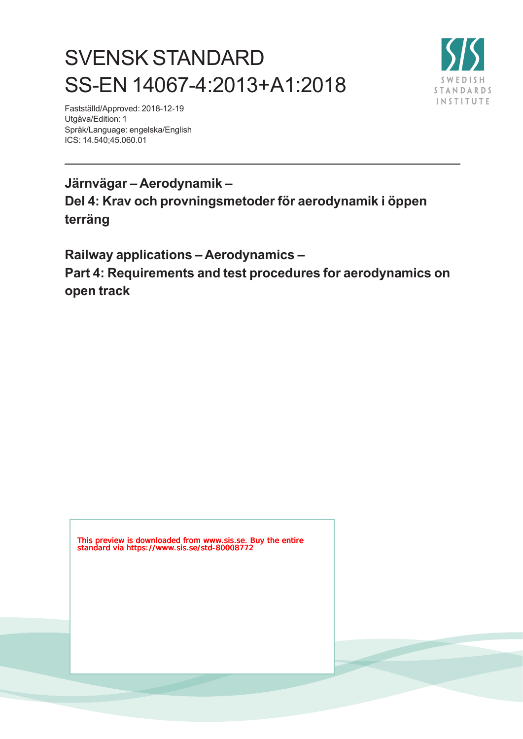# SVENSK STANDARD SS-EN 14067-4:2013+A1:2018



Fastställd/Approved: 2018-12-19 Utgåva/Edition: 1 Språk/Language: engelska/English ICS: 14.540;45.060.01

**Järnvägar – Aerodynamik – Del 4: Krav och provningsmetoder för aerodynamik i öppen terräng**

**Railway applications – Aerodynamics – Part 4: Requirements and test procedures for aerodynamics on open track**

This preview is downloaded from www.sis.se. Buy the entire standard via https://www.sis.se/std-80008772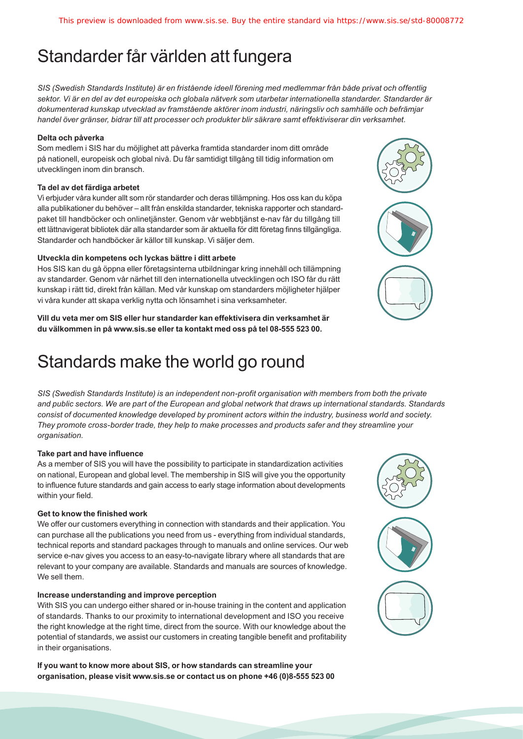# Standarder får världen att fungera

*SIS (Swedish Standards Institute) är en fristående ideell förening med medlemmar från både privat och offentlig sektor. Vi är en del av det europeiska och globala nätverk som utarbetar internationella standarder. Standarder är dokumenterad kunskap utvecklad av framstående aktörer inom industri, näringsliv och samhälle och befrämjar handel över gränser, bidrar till att processer och produkter blir säkrare samt effektiviserar din verksamhet.* 

#### **Delta och påverka**

Som medlem i SIS har du möjlighet att påverka framtida standarder inom ditt område på nationell, europeisk och global nivå. Du får samtidigt tillgång till tidig information om utvecklingen inom din bransch.

#### **Ta del av det färdiga arbetet**

Vi erbjuder våra kunder allt som rör standarder och deras tillämpning. Hos oss kan du köpa alla publikationer du behöver – allt från enskilda standarder, tekniska rapporter och standardpaket till handböcker och onlinetjänster. Genom vår webbtjänst e-nav får du tillgång till ett lättnavigerat bibliotek där alla standarder som är aktuella för ditt företag finns tillgängliga. Standarder och handböcker är källor till kunskap. Vi säljer dem.

#### **Utveckla din kompetens och lyckas bättre i ditt arbete**

Hos SIS kan du gå öppna eller företagsinterna utbildningar kring innehåll och tillämpning av standarder. Genom vår närhet till den internationella utvecklingen och ISO får du rätt kunskap i rätt tid, direkt från källan. Med vår kunskap om standarders möjligheter hjälper vi våra kunder att skapa verklig nytta och lönsamhet i sina verksamheter.

**Vill du veta mer om SIS eller hur standarder kan effektivisera din verksamhet är du välkommen in på www.sis.se eller ta kontakt med oss på tel 08-555 523 00.**

## Standards make the world go round

*SIS (Swedish Standards Institute) is an independent non-profit organisation with members from both the private and public sectors. We are part of the European and global network that draws up international standards. Standards consist of documented knowledge developed by prominent actors within the industry, business world and society. They promote cross-border trade, they help to make processes and products safer and they streamline your organisation.*

#### **Take part and have influence**

As a member of SIS you will have the possibility to participate in standardization activities on national, European and global level. The membership in SIS will give you the opportunity to influence future standards and gain access to early stage information about developments within your field.

#### **Get to know the finished work**

We offer our customers everything in connection with standards and their application. You can purchase all the publications you need from us - everything from individual standards, technical reports and standard packages through to manuals and online services. Our web service e-nav gives you access to an easy-to-navigate library where all standards that are relevant to your company are available. Standards and manuals are sources of knowledge. We sell them.

#### **Increase understanding and improve perception**

With SIS you can undergo either shared or in-house training in the content and application of standards. Thanks to our proximity to international development and ISO you receive the right knowledge at the right time, direct from the source. With our knowledge about the potential of standards, we assist our customers in creating tangible benefit and profitability in their organisations.

**If you want to know more about SIS, or how standards can streamline your organisation, please visit www.sis.se or contact us on phone +46 (0)8-555 523 00**



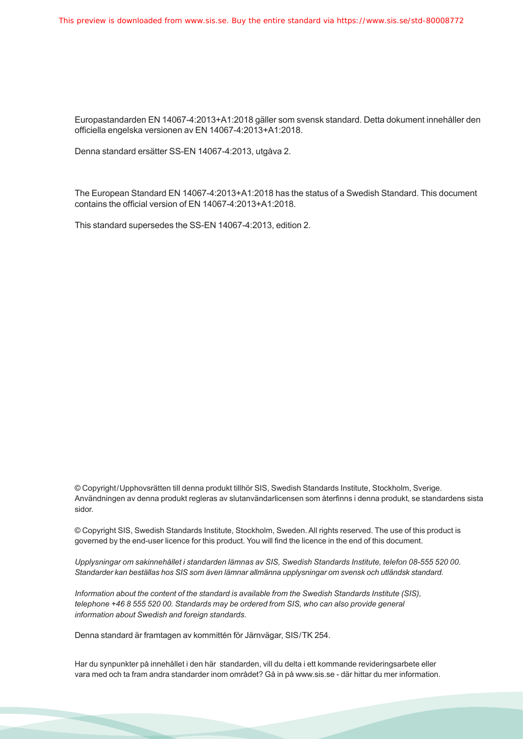Europastandarden EN 14067-4:2013+A1:2018 gäller som svensk standard. Detta dokument innehåller den officiella engelska versionen av EN 14067-4:2013+A1:2018.

Denna standard ersätter SS-EN 14067-4:2013, utgåva 2.

The European Standard EN 14067-4:2013+A1:2018 has the status of a Swedish Standard. This document contains the official version of EN 14067-4:2013+A1:2018.

This standard supersedes the SS-EN 14067-4:2013, edition 2.

© Copyright / Upphovsrätten till denna produkt tillhör SIS, Swedish Standards Institute, Stockholm, Sverige. Användningen av denna produkt regleras av slutanvändarlicensen som återfinns i denna produkt, se standardens sista sidor.

© Copyright SIS, Swedish Standards Institute, Stockholm, Sweden. All rights reserved. The use of this product is governed by the end-user licence for this product. You will find the licence in the end of this document.

*Upplysningar om sakinnehållet i standarden lämnas av SIS, Swedish Standards Institute, telefon 08-555 520 00. Standarder kan beställas hos SIS som även lämnar allmänna upplysningar om svensk och utländsk standard.*

*Information about the content of the standard is available from the Swedish Standards Institute (SIS), telephone +46 8 555 520 00. Standards may be ordered from SIS, who can also provide general information about Swedish and foreign standards.*

Denna standard är framtagen av kommittén för Järnvägar, SIS / TK 254.

Har du synpunkter på innehållet i den här standarden, vill du delta i ett kommande revideringsarbete eller vara med och ta fram andra standarder inom området? Gå in på www.sis.se - där hittar du mer information.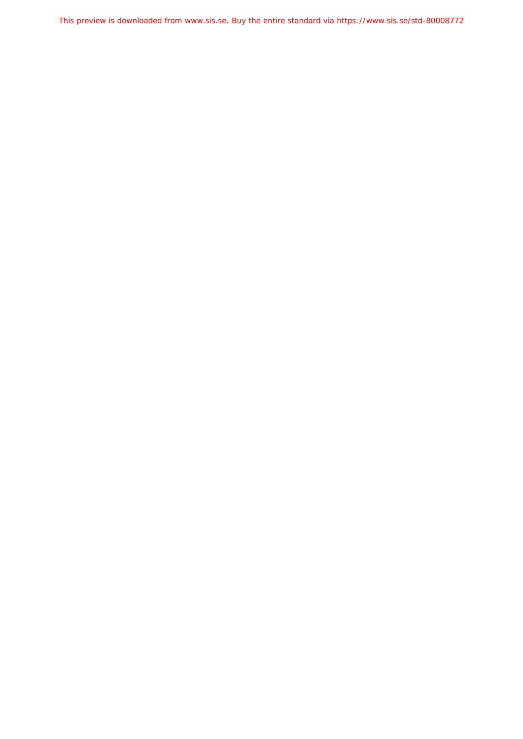This preview is downloaded from www.sis.se. Buy the entire standard via https://www.sis.se/std-80008772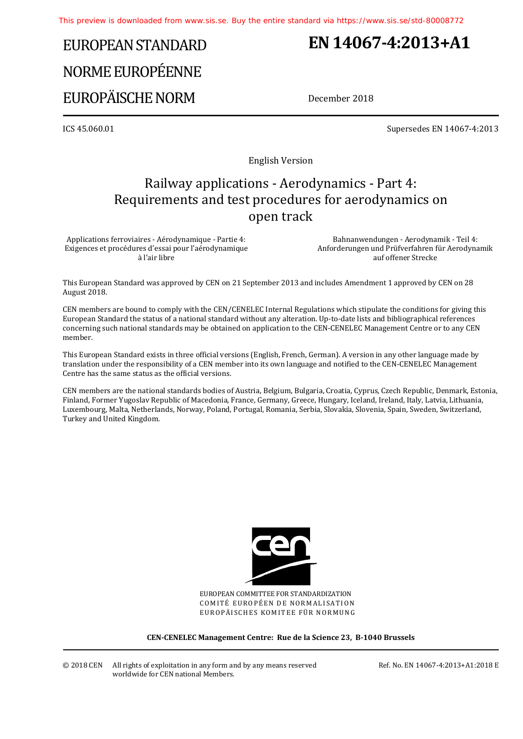# EUROPEAN STANDARD NORME EUROPÉENNE EUROPÄISCHE NORM

# **EN 14067-4:2013+A1**

December 2018

ICS 45.060.01 Supersedes EN 14067-4:2013

English Version

## Railway applications - Aerodynamics - Part 4: Requirements and test procedures for aerodynamics on open track

Applications ferroviaires - Aérodynamique - Partie 4: Exigences et procédures d'essai pour l'aérodynamique à l'air libre

 Bahnanwendungen - Aerodynamik - Teil 4: Anforderungen und Prüfverfahren für Aerodynamik auf offener Strecke

This European Standard was approved by CEN on 21 September 2013 and includes Amendment 1 approved by CEN on 28 August 2018.

CEN members are bound to comply with the CEN/CENELEC Internal Regulations which stipulate the conditions for giving this European Standard the status of a national standard without any alteration. Up-to-date lists and bibliographical references concerning such national standards may be obtained on application to the CEN-CENELEC Management Centre or to any CEN member.

This European Standard exists in three official versions (English, French, German). A version in any other language made by translation under the responsibility of a CEN member into its own language and notified to the CEN-CENELEC Management Centre has the same status as the official versions.

CEN members are the national standards bodies of Austria, Belgium, Bulgaria, Croatia, Cyprus, Czech Republic, Denmark, Estonia, Finland, Former Yugoslav Republic of Macedonia, France, Germany, Greece, Hungary, Iceland, Ireland, Italy, Latvia, Lithuania, Luxembourg, Malta, Netherlands, Norway, Poland, Portugal, Romania, Serbia, Slovakia, Slovenia, Spain, Sweden, Switzerland, Turkey and United Kingdom.



EUROPEAN COMMITTEE FOR STANDARDIZATION COMITÉ EUROPÉEN DE NORMALISATION EUROPÄISCHES KOMITEE FÜR NORMUNG

**CEN-CENELEC Management Centre: Rue de la Science 23, B-1040 Brussels**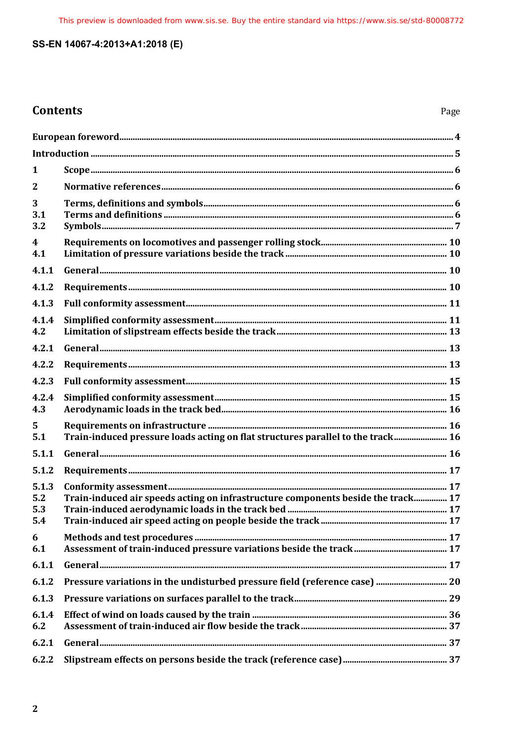## **Contents**

| 1                              |                                                                                  |  |  |  |  |
|--------------------------------|----------------------------------------------------------------------------------|--|--|--|--|
| $\mathbf{2}$                   |                                                                                  |  |  |  |  |
| 3                              |                                                                                  |  |  |  |  |
| 3.1<br>3.2                     |                                                                                  |  |  |  |  |
| $\overline{\mathbf{4}}$<br>4.1 |                                                                                  |  |  |  |  |
| 4.1.1                          |                                                                                  |  |  |  |  |
| 4.1.2                          |                                                                                  |  |  |  |  |
| 4.1.3                          |                                                                                  |  |  |  |  |
| 4.1.4<br>4.2                   |                                                                                  |  |  |  |  |
| 4.2.1                          |                                                                                  |  |  |  |  |
| 4.2.2                          |                                                                                  |  |  |  |  |
| 4.2.3                          |                                                                                  |  |  |  |  |
| 4.2.4<br>4.3                   |                                                                                  |  |  |  |  |
| $5^{\circ}$<br>5.1             | Train-induced pressure loads acting on flat structures parallel to the track 16  |  |  |  |  |
| 5.1.1                          |                                                                                  |  |  |  |  |
| 5.1.2                          |                                                                                  |  |  |  |  |
| 5.1.3<br>5.2<br>5.3<br>5.4     | Train-induced air speeds acting on infrastructure components beside the track 17 |  |  |  |  |
| 6<br>6.1                       |                                                                                  |  |  |  |  |
| 6.1.1                          |                                                                                  |  |  |  |  |
| 6.1.2                          |                                                                                  |  |  |  |  |
| 6.1.3                          |                                                                                  |  |  |  |  |
| 6.1.4<br>6.2                   |                                                                                  |  |  |  |  |
| 6.2.1                          |                                                                                  |  |  |  |  |
| 6.2.2                          |                                                                                  |  |  |  |  |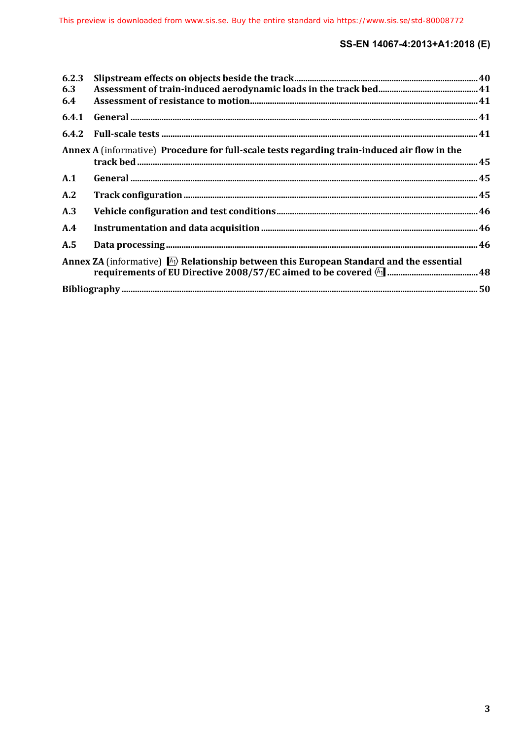| 6.2.3 |                                                                                                              |  |
|-------|--------------------------------------------------------------------------------------------------------------|--|
| 6.3   |                                                                                                              |  |
| 6.4   |                                                                                                              |  |
|       |                                                                                                              |  |
|       |                                                                                                              |  |
|       | Annex A (informative) Procedure for full-scale tests regarding train-induced air flow in the                 |  |
| A.1   |                                                                                                              |  |
| A.2   |                                                                                                              |  |
| A.3   |                                                                                                              |  |
| A.4   |                                                                                                              |  |
| A.5   |                                                                                                              |  |
|       | <b>Annex ZA</b> (informative) $\overline{A_1}$ Relationship between this European Standard and the essential |  |
|       |                                                                                                              |  |
|       |                                                                                                              |  |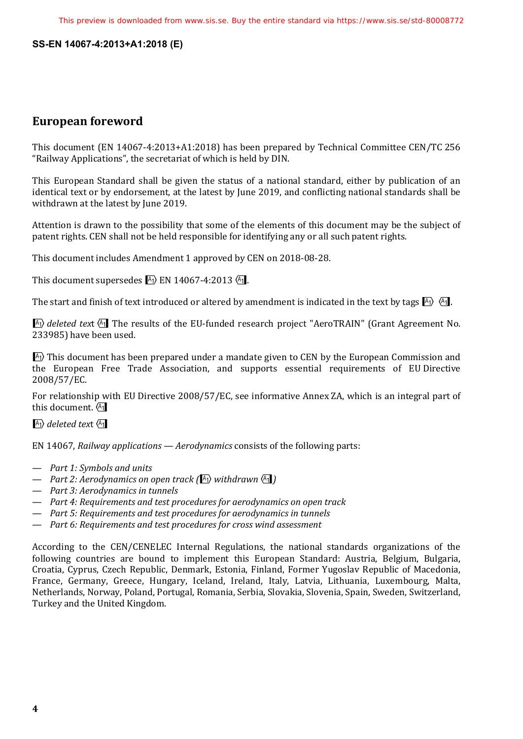## **European foreword**

This document (EN 14067-4:2013+A1:2018) has been prepared by Technical Committee CEN/TC 256 "Railway Applications", the secretariat of which is held by DIN.

This European Standard shall be given the status of a national standard, either by publication of an identical text or by endorsement, at the latest by June 2019, and conflicting national standards shall be withdrawn at the latest by June 2019.

Attention is drawn to the possibility that some of the elements of this document may be the subject of patent rights. CEN shall not be held responsible for identifying any or all such patent rights.

This document includes Amendment 1 approved by CEN on 2018-08-28.

This document supersedes  $A_1$  EN 14067-4:2013 $A_1$ .

The start and finish of text introduced or altered by amendment is indicated in the text by tags  $\ket{A}$ .

<sup>[4]</sup>) deleted text  $\overline{\langle A_1|}$  The results of the EU-funded research project "AeroTRAIN" (Grant Agreement No. 233985) have been used.

 $\mathbb{A}$ ) This document has been prepared under a mandate given to CEN by the European Commission and the European Free Trade Association, and supports essential requirements of EU Directive 2008/57/EC.

For relationship with EU Directive 2008/57/EC, see informative Annex ZA, which is an integral part of this document.  $\sqrt{41}$ 

 $\overline{A_1}$ *deleted text*  $\overline{A_1}$ 

EN 14067, *Railway applications — Aerodynamics* consists of the following parts:

- *Part 1: Symbols and units*
- *Part 2: Aerodynamics on open track* ( $\overline{A_1}$ ) withdrawn  $\overline{A_1}$ )
- *Part 3: Aerodynamics in tunnels*
- *Part 4: Requirements and test procedures for aerodynamics on open track*
- *Part 5: Requirements and test procedures for aerodynamics in tunnels*
- *Part 6: Requirements and test procedures for cross wind assessment*

According to the CEN/CENELEC Internal Regulations, the national standards organizations of the following countries are bound to implement this European Standard: Austria, Belgium, Bulgaria, Croatia, Cyprus, Czech Republic, Denmark, Estonia, Finland, Former Yugoslav Republic of Macedonia, France, Germany, Greece, Hungary, Iceland, Ireland, Italy, Latvia, Lithuania, Luxembourg, Malta, Netherlands, Norway, Poland, Portugal, Romania, Serbia, Slovakia, Slovenia, Spain, Sweden, Switzerland, Turkey and the United Kingdom.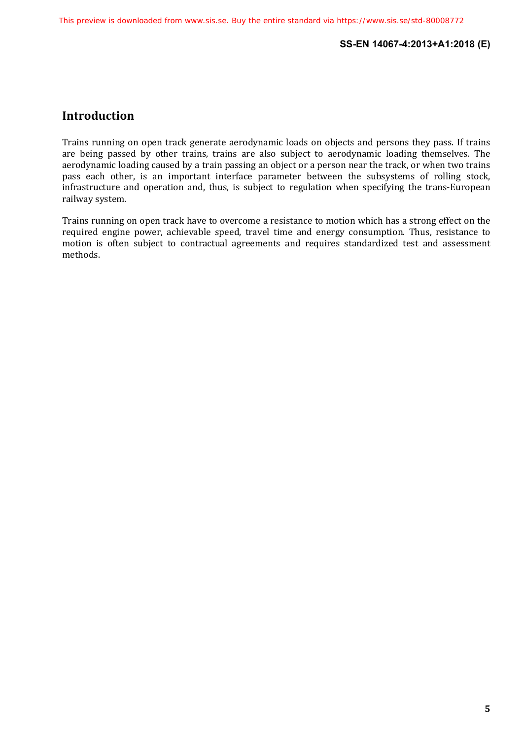## **Introduction**

Trains running on open track generate aerodynamic loads on objects and persons they pass. If trains are being passed by other trains, trains are also subject to aerodynamic loading themselves. The aerodynamic loading caused by a train passing an object or a person near the track, or when two trains pass each other, is an important interface parameter between the subsystems of rolling stock, infrastructure and operation and, thus, is subject to regulation when specifying the trans-European railway system.

Trains running on open track have to overcome a resistance to motion which has a strong effect on the required engine power, achievable speed, travel time and energy consumption. Thus, resistance to motion is often subject to contractual agreements and requires standardized test and assessment methods.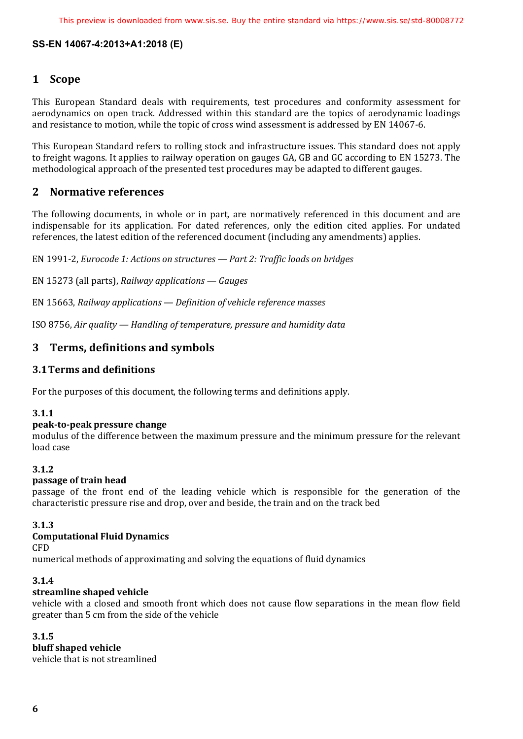## **1 Scope**

This European Standard deals with requirements, test procedures and conformity assessment for aerodynamics on open track. Addressed within this standard are the topics of aerodynamic loadings and resistance to motion, while the topic of cross wind assessment is addressed by EN 14067-6.

This European Standard refers to rolling stock and infrastructure issues. This standard does not apply to freight wagons. It applies to railway operation on gauges GA, GB and GC according to EN 15273. The methodological approach of the presented test procedures may be adapted to different gauges.

### **2 Normative references**

The following documents, in whole or in part, are normatively referenced in this document and are indispensable for its application. For dated references, only the edition cited applies. For undated references, the latest edition of the referenced document (including any amendments) applies.

EN 1991-2, *Eurocode 1: Actions on structures — Part 2: Traffic loads on bridges*

EN 15273 (all parts), *Railway applications — Gauges*

EN 15663, *Railway applications — Definition of vehicle reference masses*

ISO 8756, *Air quality — Handling of temperature, pressure and humidity data*

#### **3 Terms, definitions and symbols**

#### **3.1Terms and definitions**

For the purposes of this document, the following terms and definitions apply.

#### **3.1.1**

#### **peak-to-peak pressure change**

modulus of the difference between the maximum pressure and the minimum pressure for the relevant load case

#### **3.1.2**

#### **passage of train head**

passage of the front end of the leading vehicle which is responsible for the generation of the characteristic pressure rise and drop, over and beside, the train and on the track bed

## **3.1.3**

#### **Computational Fluid Dynamics**  CFD

numerical methods of approximating and solving the equations of fluid dynamics

#### **3.1.4**

#### **streamline shaped vehicle**

vehicle with a closed and smooth front which does not cause flow separations in the mean flow field greater than 5 cm from the side of the vehicle

#### **3.1.5**

#### **bluff shaped vehicle**

vehicle that is not streamlined